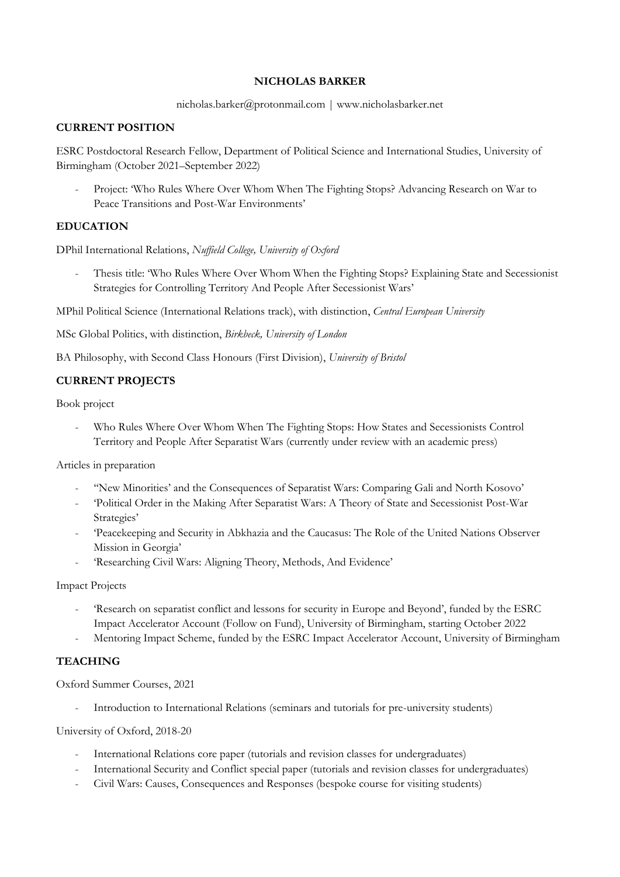#### **NICHOLAS BARKER**

#### nicholas.barker@protonmail.com | www.nicholasbarker.net

# **CURRENT POSITION**

ESRC Postdoctoral Research Fellow, Department of Political Science and International Studies, University of Birmingham (October 2021–September 2022)

- Project: 'Who Rules Where Over Whom When The Fighting Stops? Advancing Research on War to Peace Transitions and Post-War Environments'

## **EDUCATION**

DPhil International Relations, *Nuffield College, University of Oxford*

Thesis title: 'Who Rules Where Over Whom When the Fighting Stops? Explaining State and Secessionist Strategies for Controlling Territory And People After Secessionist Wars'

MPhil Political Science (International Relations track), with distinction, *Central European University*

MSc Global Politics, with distinction, *Birkbeck, University of London*

BA Philosophy, with Second Class Honours (First Division), *University of Bristol*

## **CURRENT PROJECTS**

Book project

Who Rules Where Over Whom When The Fighting Stops: How States and Secessionists Control Territory and People After Separatist Wars (currently under review with an academic press)

Articles in preparation

- ''New Minorities' and the Consequences of Separatist Wars: Comparing Gali and North Kosovo'
- 'Political Order in the Making After Separatist Wars: A Theory of State and Secessionist Post-War Strategies'
- 'Peacekeeping and Security in Abkhazia and the Caucasus: The Role of the United Nations Observer Mission in Georgia'
- 'Researching Civil Wars: Aligning Theory, Methods, And Evidence'

#### Impact Projects

- 'Research on separatist conflict and lessons for security in Europe and Beyond', funded by the ESRC Impact Accelerator Account (Follow on Fund), University of Birmingham, starting October 2022
- Mentoring Impact Scheme, funded by the ESRC Impact Accelerator Account, University of Birmingham

## **TEACHING**

Oxford Summer Courses, 2021

Introduction to International Relations (seminars and tutorials for pre-university students)

University of Oxford, 2018-20

- International Relations core paper (tutorials and revision classes for undergraduates)
- International Security and Conflict special paper (tutorials and revision classes for undergraduates)
- Civil Wars: Causes, Consequences and Responses (bespoke course for visiting students)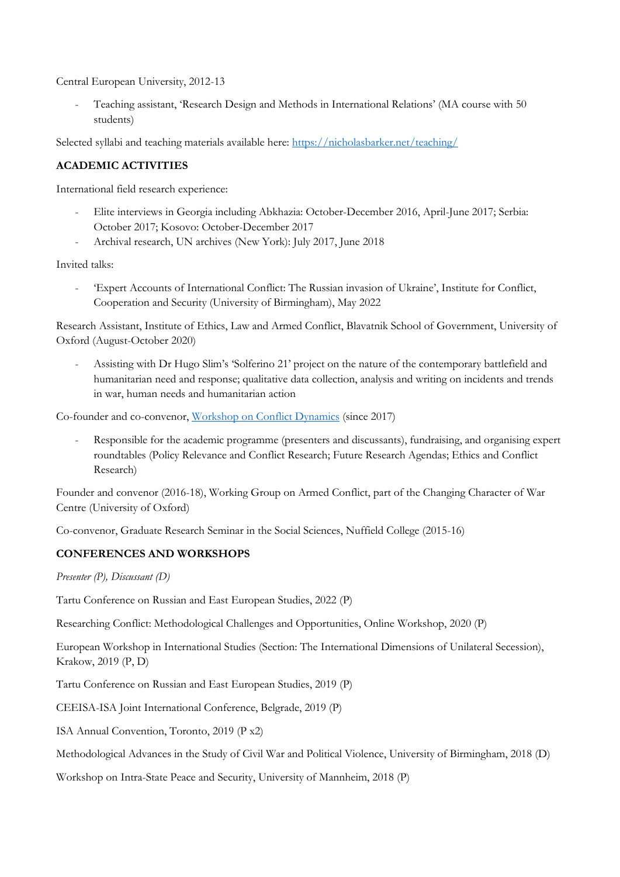Central European University, 2012-13

- Teaching assistant, 'Research Design and Methods in International Relations' (MA course with 50 students)

Selected syllabi and teaching materials available here:<https://nicholasbarker.net/teaching/>

# **ACADEMIC ACTIVITIES**

International field research experience:

- Elite interviews in Georgia including Abkhazia: October-December 2016, April-June 2017; Serbia: October 2017; Kosovo: October-December 2017
- Archival research, UN archives (New York): July 2017, June 2018

Invited talks:

- 'Expert Accounts of International Conflict: The Russian invasion of Ukraine', Institute for Conflict, Cooperation and Security (University of Birmingham), May 2022

Research Assistant, Institute of Ethics, Law and Armed Conflict, Blavatnik School of Government, University of Oxford (August-October 2020)

- Assisting with Dr Hugo Slim's 'Solferino 21' project on the nature of the contemporary battlefield and humanitarian need and response; qualitative data collection, analysis and writing on incidents and trends in war, human needs and humanitarian action

Co-founder and co-convenor, [Workshop on Conflict Dynamics](https://www.uni-mannheim.de/conflict-dynamics/) (since 2017)

Responsible for the academic programme (presenters and discussants), fundraising, and organising expert roundtables (Policy Relevance and Conflict Research; Future Research Agendas; Ethics and Conflict Research)

Founder and convenor (2016-18), Working Group on Armed Conflict, part of the Changing Character of War Centre (University of Oxford)

Co-convenor, Graduate Research Seminar in the Social Sciences, Nuffield College (2015-16)

## **CONFERENCES AND WORKSHOPS**

*Presenter (P), Discussant (D)*

Tartu Conference on Russian and East European Studies, 2022 (P)

Researching Conflict: Methodological Challenges and Opportunities, Online Workshop, 2020 (P)

European Workshop in International Studies (Section: The International Dimensions of Unilateral Secession), Krakow, 2019 (P, D)

Tartu Conference on Russian and East European Studies, 2019 (P)

CEEISA-ISA Joint International Conference, Belgrade, 2019 (P)

ISA Annual Convention, Toronto, 2019 (P x2)

Methodological Advances in the Study of Civil War and Political Violence, University of Birmingham, 2018 (D)

Workshop on Intra-State Peace and Security, University of Mannheim, 2018 (P)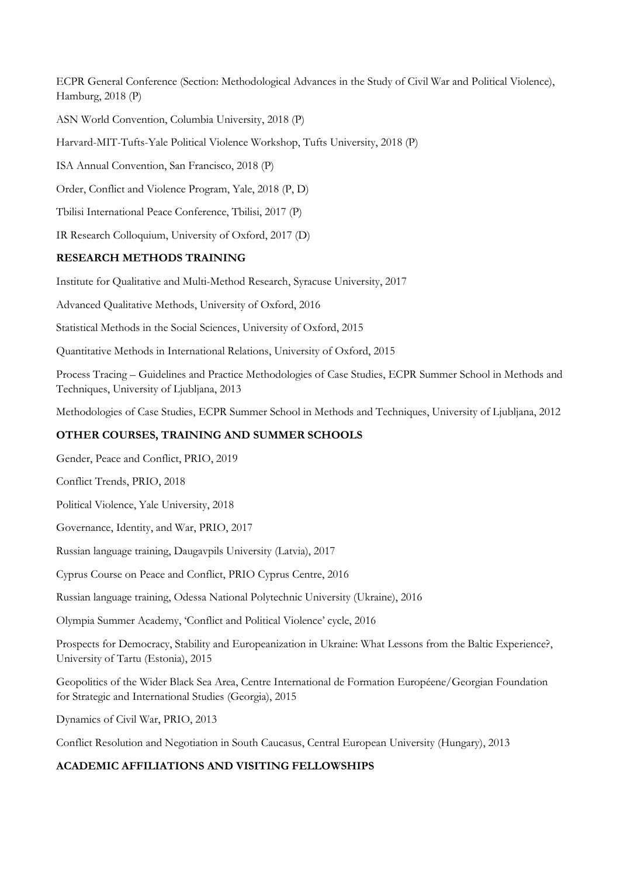ECPR General Conference (Section: Methodological Advances in the Study of Civil War and Political Violence), Hamburg, 2018 (P)

ASN World Convention, Columbia University, 2018 (P)

Harvard-MIT-Tufts-Yale Political Violence Workshop, Tufts University, 2018 (P)

ISA Annual Convention, San Francisco, 2018 (P)

Order, Conflict and Violence Program, Yale, 2018 (P, D)

Tbilisi International Peace Conference, Tbilisi, 2017 (P)

IR Research Colloquium, University of Oxford, 2017 (D)

#### **RESEARCH METHODS TRAINING**

Institute for Qualitative and Multi-Method Research, Syracuse University, 2017

Advanced Qualitative Methods, University of Oxford, 2016

Statistical Methods in the Social Sciences, University of Oxford, 2015

Quantitative Methods in International Relations, University of Oxford, 2015

Process Tracing – Guidelines and Practice Methodologies of Case Studies, ECPR Summer School in Methods and Techniques, University of Ljubljana, 2013

Methodologies of Case Studies, ECPR Summer School in Methods and Techniques, University of Ljubljana, 2012

## **OTHER COURSES, TRAINING AND SUMMER SCHOOLS**

Gender, Peace and Conflict, PRIO, 2019

Conflict Trends, PRIO, 2018

Political Violence, Yale University, 2018

Governance, Identity, and War, PRIO, 2017

Russian language training, Daugavpils University (Latvia), 2017

Cyprus Course on Peace and Conflict, PRIO Cyprus Centre, 2016

Russian language training, Odessa National Polytechnic University (Ukraine), 2016

Olympia Summer Academy, 'Conflict and Political Violence' cycle, 2016

Prospects for Democracy, Stability and Europeanization in Ukraine: What Lessons from the Baltic Experience?, University of Tartu (Estonia), 2015

Geopolitics of the Wider Black Sea Area, Centre International de Formation Européene/Georgian Foundation for Strategic and International Studies (Georgia), 2015

Dynamics of Civil War, PRIO, 2013

Conflict Resolution and Negotiation in South Caucasus, Central European University (Hungary), 2013

## **ACADEMIC AFFILIATIONS AND VISITING FELLOWSHIPS**